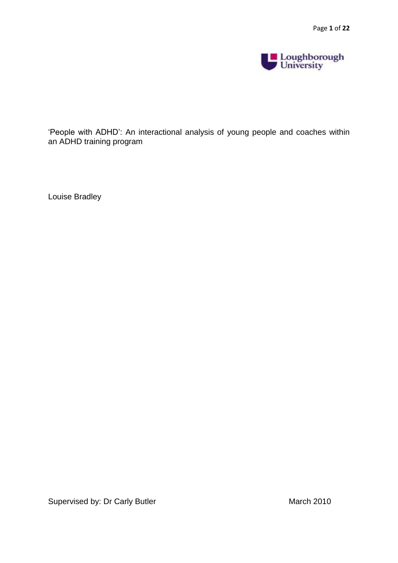

'People with ADHD': An interactional analysis of young people and coaches within an ADHD training program

Louise Bradley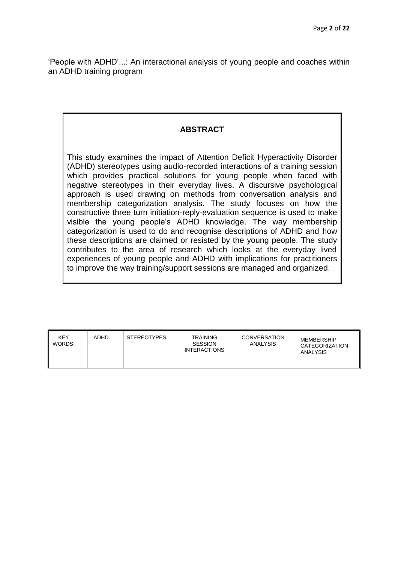"People with ADHD"...: An interactional analysis of young people and coaches within an ADHD training program

# **ABSTRACT**

This study examines the impact of Attention Deficit Hyperactivity Disorder (ADHD) stereotypes using audio-recorded interactions of a training session which provides practical solutions for young people when faced with negative stereotypes in their everyday lives. A discursive psychological approach is used drawing on methods from conversation analysis and membership categorization analysis. The study focuses on how the constructive three turn initiation-reply-evaluation sequence is used to make visible the young people"s ADHD knowledge. The way membership categorization is used to do and recognise descriptions of ADHD and how these descriptions are claimed or resisted by the young people. The study contributes to the area of research which looks at the everyday lived experiences of young people and ADHD with implications for practitioners to improve the way training/support sessions are managed and organized.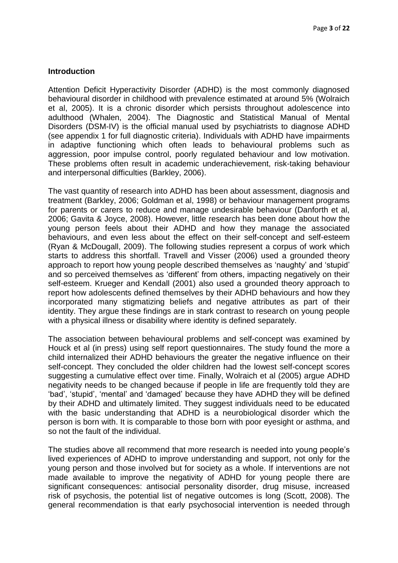### **Introduction**

Attention Deficit Hyperactivity Disorder (ADHD) is the most commonly diagnosed behavioural disorder in childhood with prevalence estimated at around 5% (Wolraich et al, 2005). It is a chronic disorder which persists throughout adolescence into adulthood (Whalen, 2004). The Diagnostic and Statistical Manual of Mental Disorders (DSM-IV) is the official manual used by psychiatrists to diagnose ADHD (see appendix 1 for full diagnostic criteria). Individuals with ADHD have impairments in adaptive functioning which often leads to behavioural problems such as aggression, poor impulse control, poorly regulated behaviour and low motivation. These problems often result in academic underachievement, risk-taking behaviour and interpersonal difficulties (Barkley, 2006).

The vast quantity of research into ADHD has been about assessment, diagnosis and treatment (Barkley, 2006; Goldman et al, 1998) or behaviour management programs for parents or carers to reduce and manage undesirable behaviour (Danforth et al, 2006; Gavita & Joyce, 2008). However, little research has been done about how the young person feels about their ADHD and how they manage the associated behaviours, and even less about the effect on their self-concept and self-esteem (Ryan & McDougall, 2009). The following studies represent a corpus of work which starts to address this shortfall. Travell and Visser (2006) used a grounded theory approach to report how young people described themselves as "naughty" and "stupid" and so perceived themselves as "different" from others, impacting negatively on their self-esteem. Krueger and Kendall (2001) also used a grounded theory approach to report how adolescents defined themselves by their ADHD behaviours and how they incorporated many stigmatizing beliefs and negative attributes as part of their identity. They argue these findings are in stark contrast to research on young people with a physical illness or disability where identity is defined separately.

The association between behavioural problems and self-concept was examined by Houck et al (in press) using self report questionnaires. The study found the more a child internalized their ADHD behaviours the greater the negative influence on their self-concept. They concluded the older children had the lowest self-concept scores suggesting a cumulative effect over time. Finally, Wolraich et al (2005) argue ADHD negativity needs to be changed because if people in life are frequently told they are "bad", "stupid", "mental" and "damaged" because they have ADHD they will be defined by their ADHD and ultimately limited. They suggest individuals need to be educated with the basic understanding that ADHD is a neurobiological disorder which the person is born with. It is comparable to those born with poor eyesight or asthma, and so not the fault of the individual.

The studies above all recommend that more research is needed into young people"s lived experiences of ADHD to improve understanding and support, not only for the young person and those involved but for society as a whole. If interventions are not made available to improve the negativity of ADHD for young people there are significant consequences: antisocial personality disorder, drug misuse, increased risk of psychosis, the potential list of negative outcomes is long (Scott, 2008). The general recommendation is that early psychosocial intervention is needed through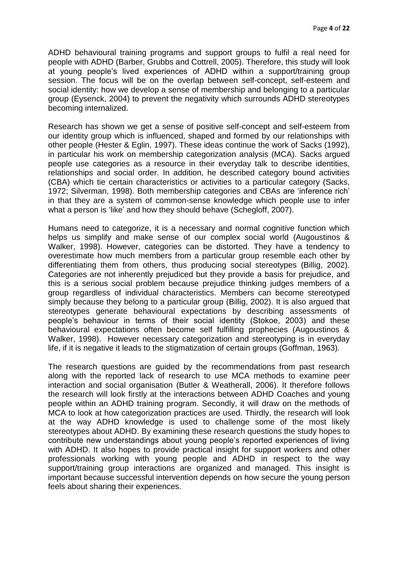ADHD behavioural training programs and support groups to fulfil a real need for people with ADHD (Barber, Grubbs and Cottrell, 2005). Therefore, this study will look at young people"s lived experiences of ADHD within a support/training group session. The focus will be on the overlap between self-concept, self-esteem and social identity: how we develop a sense of membership and belonging to a particular group (Eysenck, 2004) to prevent the negativity which surrounds ADHD stereotypes becoming internalized.

Research has shown we get a sense of positive self-concept and self-esteem from our identity group which is influenced, shaped and formed by our relationships with other people (Hester & Eglin, 1997). These ideas continue the work of Sacks (1992), in particular his work on membership categorization analysis (MCA). Sacks argued people use categories as a resource in their everyday talk to describe identities, relationships and social order. In addition, he described category bound activities (CBA) which tie certain characteristics or activities to a particular category (Sacks, 1972; Silverman, 1998). Both membership categories and CBAs are "inference rich" in that they are a system of common-sense knowledge which people use to infer what a person is 'like' and how they should behave (Schegloff, 2007).

Humans need to categorize, it is a necessary and normal cognitive function which helps us simplify and make sense of our complex social world (Augoustinos & Walker, 1998). However, categories can be distorted. They have a tendency to overestimate how much members from a particular group resemble each other by differentiating them from others, thus producing social stereotypes (Billig, 2002). Categories are not inherently prejudiced but they provide a basis for prejudice, and this is a serious social problem because prejudice thinking judges members of a group regardless of individual characteristics. Members can become stereotyped simply because they belong to a particular group (Billig, 2002). It is also argued that stereotypes generate behavioural expectations by describing assessments of people"s behaviour in terms of their social identity (Stokoe, 2003) and these behavioural expectations often become self fulfilling prophecies (Augoustinos & Walker, 1998). However necessary categorization and stereotyping is in everyday life, if it is negative it leads to the stigmatization of certain groups (Goffman, 1963).

The research questions are guided by the recommendations from past research along with the reported lack of research to use MCA methods to examine peer interaction and social organisation (Butler & Weatherall, 2006). It therefore follows the research will look firstly at the interactions between ADHD Coaches and young people within an ADHD training program. Secondly, it will draw on the methods of MCA to look at how categorization practices are used. Thirdly, the research will look at the way ADHD knowledge is used to challenge some of the most likely stereotypes about ADHD. By examining these research questions the study hopes to contribute new understandings about young people"s reported experiences of living with ADHD. It also hopes to provide practical insight for support workers and other professionals working with young people and ADHD in respect to the way support/training group interactions are organized and managed. This insight is important because successful intervention depends on how secure the young person feels about sharing their experiences.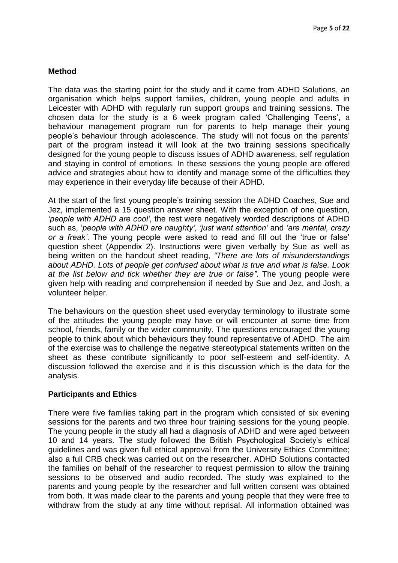### **Method**

The data was the starting point for the study and it came from ADHD Solutions, an organisation which helps support families, children, young people and adults in Leicester with ADHD with regularly run support groups and training sessions. The chosen data for the study is a 6 week program called "Challenging Teens", a behaviour management program run for parents to help manage their young people"s behaviour through adolescence. The study will not focus on the parents" part of the program instead it will look at the two training sessions specifically designed for the young people to discuss issues of ADHD awareness, self regulation and staying in control of emotions. In these sessions the young people are offered advice and strategies about how to identify and manage some of the difficulties they may experience in their everyday life because of their ADHD.

At the start of the first young people"s training session the ADHD Coaches, Sue and Jez, implemented a 15 question answer sheet. With the exception of one question, *"people with ADHD are cool"*, the rest were negatively worded descriptions of ADHD such as, "*people with ADHD are naughty", "just want attention"* and *"are mental, crazy or a freak"*. The young people were asked to read and fill out the "true or false" question sheet (Appendix 2). Instructions were given verbally by Sue as well as being written on the handout sheet reading, *"There are lots of misunderstandings about ADHD. Lots of people get confused about what is true and what is false. Look at the list below and tick whether they are true or false"*. The young people were given help with reading and comprehension if needed by Sue and Jez, and Josh, a volunteer helper.

The behaviours on the question sheet used everyday terminology to illustrate some of the attitudes the young people may have or will encounter at some time from school, friends, family or the wider community. The questions encouraged the young people to think about which behaviours they found representative of ADHD. The aim of the exercise was to challenge the negative stereotypical statements written on the sheet as these contribute significantly to poor self-esteem and self-identity. A discussion followed the exercise and it is this discussion which is the data for the analysis.

### **Participants and Ethics**

There were five families taking part in the program which consisted of six evening sessions for the parents and two three hour training sessions for the young people. The young people in the study all had a diagnosis of ADHD and were aged between 10 and 14 years. The study followed the British Psychological Society"s ethical guidelines and was given full ethical approval from the University Ethics Committee; also a full CRB check was carried out on the researcher. ADHD Solutions contacted the families on behalf of the researcher to request permission to allow the training sessions to be observed and audio recorded. The study was explained to the parents and young people by the researcher and full written consent was obtained from both. It was made clear to the parents and young people that they were free to withdraw from the study at any time without reprisal. All information obtained was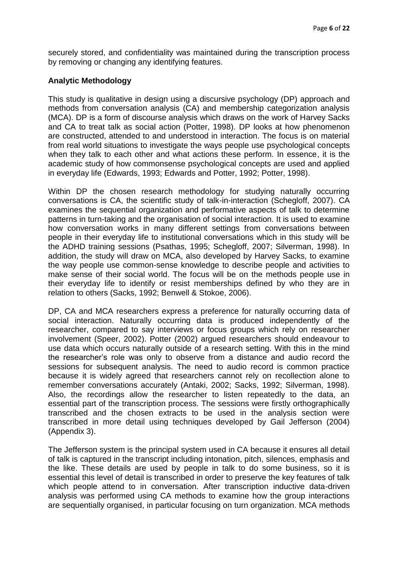securely stored, and confidentiality was maintained during the transcription process by removing or changing any identifying features.

### **Analytic Methodology**

This study is qualitative in design using a discursive psychology (DP) approach and methods from conversation analysis (CA) and membership categorization analysis (MCA). DP is a form of discourse analysis which draws on the work of Harvey Sacks and CA to treat talk as social action (Potter, 1998). DP looks at how phenomenon are constructed, attended to and understood in interaction. The focus is on material from real world situations to investigate the ways people use psychological concepts when they talk to each other and what actions these perform. In essence, it is the academic study of how commonsense psychological concepts are used and applied in everyday life (Edwards, 1993; Edwards and Potter, 1992; Potter, 1998).

Within DP the chosen research methodology for studying naturally occurring conversations is CA, the scientific study of talk-in-interaction (Schegloff, 2007). CA examines the sequential organization and performative aspects of talk to determine patterns in turn-taking and the organisation of social interaction. It is used to examine how conversation works in many different settings from conversations between people in their everyday life to institutional conversations which in this study will be the ADHD training sessions (Psathas, 1995; Schegloff, 2007; Silverman, 1998). In addition, the study will draw on MCA, also developed by Harvey Sacks, to examine the way people use common-sense knowledge to describe people and activities to make sense of their social world. The focus will be on the methods people use in their everyday life to identify or resist memberships defined by who they are in relation to others (Sacks, 1992; Benwell & Stokoe, 2006).

DP, CA and MCA researchers express a preference for naturally occurring data of social interaction. Naturally occurring data is produced independently of the researcher, compared to say interviews or focus groups which rely on researcher involvement (Speer, 2002). Potter (2002) argued researchers should endeavour to use data which occurs naturally outside of a research setting. With this in the mind the researcher"s role was only to observe from a distance and audio record the sessions for subsequent analysis. The need to audio record is common practice because it is widely agreed that researchers cannot rely on recollection alone to remember conversations accurately (Antaki, 2002; Sacks, 1992; Silverman, 1998). Also, the recordings allow the researcher to listen repeatedly to the data, an essential part of the transcription process. The sessions were firstly orthographically transcribed and the chosen extracts to be used in the analysis section were transcribed in more detail using techniques developed by Gail Jefferson (2004) (Appendix 3).

The Jefferson system is the principal system used in CA because it ensures all detail of talk is captured in the transcript including intonation, pitch, silences, emphasis and the like. These details are used by people in talk to do some business, so it is essential this level of detail is transcribed in order to preserve the key features of talk which people attend to in conversation. After transcription inductive data-driven analysis was performed using CA methods to examine how the group interactions are sequentially organised, in particular focusing on turn organization. MCA methods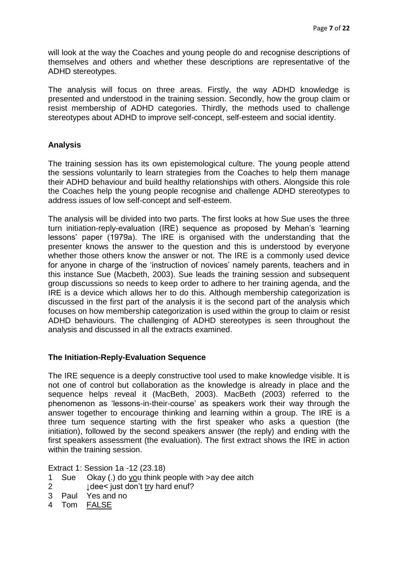will look at the way the Coaches and young people do and recognise descriptions of themselves and others and whether these descriptions are representative of the ADHD stereotypes.

The analysis will focus on three areas. Firstly, the way ADHD knowledge is presented and understood in the training session. Secondly, how the group claim or resist membership of ADHD categories. Thirdly, the methods used to challenge stereotypes about ADHD to improve self-concept, self-esteem and social identity.

## **Analysis**

The training session has its own epistemological culture. The young people attend the sessions voluntarily to learn strategies from the Coaches to help them manage their ADHD behaviour and build healthy relationships with others. Alongside this role the Coaches help the young people recognise and challenge ADHD stereotypes to address issues of low self-concept and self-esteem.

The analysis will be divided into two parts. The first looks at how Sue uses the three turn initiation-reply-evaluation (IRE) sequence as proposed by Mehan"s "learning lessons" paper (1979a). The IRE is organised with the understanding that the presenter knows the answer to the question and this is understood by everyone whether those others know the answer or not. The IRE is a commonly used device for anyone in charge of the 'instruction of novices' namely parents, teachers and in this instance Sue (Macbeth, 2003). Sue leads the training session and subsequent group discussions so needs to keep order to adhere to her training agenda, and the IRE is a device which allows her to do this. Although membership categorization is discussed in the first part of the analysis it is the second part of the analysis which focuses on how membership categorization is used within the group to claim or resist ADHD behaviours. The challenging of ADHD stereotypes is seen throughout the analysis and discussed in all the extracts examined.

## **The Initiation-Reply-Evaluation Sequence**

The IRE sequence is a deeply constructive tool used to make knowledge visible. It is not one of control but collaboration as the knowledge is already in place and the sequence helps reveal it (MacBeth, 2003). MacBeth (2003) referred to the phenomenon as "lessons-in-their-course" as speakers work their way through the answer together to encourage thinking and learning within a group. The IRE is a three turn sequence starting with the first speaker who asks a question (the initiation), followed by the second speakers answer (the reply) and ending with the first speakers assessment (the evaluation). The first extract shows the IRE in action within the training session.

Extract 1: Session 1a -12 (23.18)

- 1 Sue Okay (.) do you think people with  $>$ ay dee aitch
- 2 *Ldee*< just don't try hard enuf?
- 3 Paul Yes and no
- 4 Tom FALSE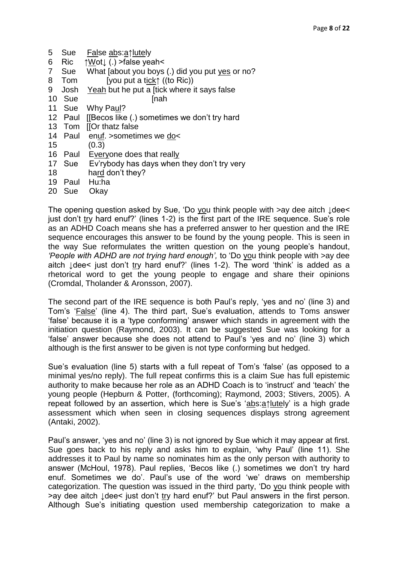| 5  | Sue     | False abs:a flutely                             |
|----|---------|-------------------------------------------------|
| 6  | Ric     | ↑Wot (.) > false yeah <                         |
| 7  | Sue     | What [about you boys (.) did you put yes or no? |
| 8  | Tom     | [you put a tick $\uparrow$ ((to Ric))           |
| 9  | Josh    | Yeah but he put a [tick where it says false     |
| 10 | Sue     | [nah                                            |
| 11 | Sue     | Why Paul?                                       |
|    | 12 Paul | [Becos like (.) sometimes we don't try hard     |
|    | 13 Tom  | [Or thatz false]                                |
| 14 | Paul    | enuf. >sometimes we do<                         |
| 15 |         | (0.3)                                           |
| 16 | Paul    | Everyone does that really                       |
| 17 | Sue     | Ev'rybody has days when they don't try very     |
| 18 |         | hard don't they?                                |
| 19 | Paul    | Hu:ha                                           |
| 20 | Sue     | Okay                                            |
|    |         |                                                 |

The opening question asked by Sue, 'Do you think people with >ay dee aitch  $\downarrow$ dee< just don't try hard enuf?' (lines 1-2) is the first part of the IRE sequence. Sue's role as an ADHD Coach means she has a preferred answer to her question and the IRE sequence encourages this answer to be found by the young people. This is seen in the way Sue reformulates the written question on the young people"s handout, *"People with ADHD are not trying hard enough",* to "Do you think people with >ay dee aitch  $\lrcorner$  dee< just don't try hard enuf?' (lines 1-2). The word 'think' is added as a rhetorical word to get the young people to engage and share their opinions (Cromdal, Tholander & Aronsson, 2007).

The second part of the IRE sequence is both Paul's reply, 'yes and no' (line 3) and Tom"s "False" (line 4). The third part, Sue"s evaluation, attends to Toms answer "false" because it is a "type conforming" answer which stands in agreement with the initiation question (Raymond, 2003). It can be suggested Sue was looking for a "false" answer because she does not attend to Paul"s "yes and no" (line 3) which although is the first answer to be given is not type conforming but hedged.

Sue's evaluation (line 5) starts with a full repeat of Tom's 'false' (as opposed to a minimal yes/no reply). The full repeat confirms this is a claim Sue has full epistemic authority to make because her role as an ADHD Coach is to "instruct" and "teach" the young people (Hepburn & Potter, (forthcoming); Raymond, 2003; Stivers, 2005). A repeat followed by an assertion, which here is Sue's 'abs:a↑lutely' is a high grade assessment which when seen in closing sequences displays strong agreement (Antaki, 2002).

Paul"s answer, "yes and no" (line 3) is not ignored by Sue which it may appear at first. Sue goes back to his reply and asks him to explain, "why Paul" (line 11). She addresses it to Paul by name so nominates him as the only person with authority to answer (McHoul, 1978). Paul replies, "Becos like (.) sometimes we don"t try hard enuf. Sometimes we do'. Paul's use of the word 'we' draws on membership categorization. The question was issued in the third party, "Do you think people with >ay dee aitch ↓dee< just don"t try hard enuf?" but Paul answers in the first person. Although Sue"s initiating question used membership categorization to make a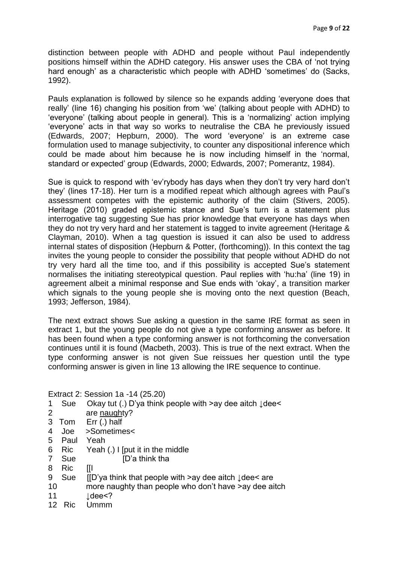distinction between people with ADHD and people without Paul independently positions himself within the ADHD category. His answer uses the CBA of "not trying hard enough' as a characteristic which people with ADHD 'sometimes' do (Sacks, 1992).

Pauls explanation is followed by silence so he expands adding "everyone does that really' (line 16) changing his position from 'we' (talking about people with ADHD) to "everyone" (talking about people in general). This is a "normalizing" action implying "everyone" acts in that way so works to neutralise the CBA he previously issued (Edwards, 2007; Hepburn, 2000). The word "everyone" is an extreme case formulation used to manage subjectivity, to counter any dispositional inference which could be made about him because he is now including himself in the "normal, standard or expected" group (Edwards, 2000; Edwards, 2007; Pomerantz, 1984).

Sue is quick to respond with 'ev'rybody has days when they don't try very hard don't they" (lines 17-18). Her turn is a modified repeat which although agrees with Paul"s assessment competes with the epistemic authority of the claim (Stivers, 2005). Heritage (2010) graded epistemic stance and Sue's turn is a statement plus interrogative tag suggesting Sue has prior knowledge that everyone has days when they do not try very hard and her statement is tagged to invite agreement (Heritage & Clayman, 2010). When a tag question is issued it can also be used to address internal states of disposition (Hepburn & Potter, (forthcoming)). In this context the tag invites the young people to consider the possibility that people without ADHD do not try very hard all the time too, and if this possibility is accepted Sue"s statement normalises the initiating stereotypical question. Paul replies with "hu:ha" (line 19) in agreement albeit a minimal response and Sue ends with "okay", a transition marker which signals to the young people she is moving onto the next question (Beach, 1993; Jefferson, 1984).

The next extract shows Sue asking a question in the same IRE format as seen in extract 1, but the young people do not give a type conforming answer as before. It has been found when a type conforming answer is not forthcoming the conversation continues until it is found (Macbeth, 2003). This is true of the next extract. When the type conforming answer is not given Sue reissues her question until the type conforming answer is given in line 13 allowing the IRE sequence to continue.

Extract 2: Session 1a -14 (25.20)

- 1 Sue Okay tut (.) D"ya think people with >ay dee aitch ↓dee<
- 2 are naughty?
- 3 Tom Err (.) half
- 4 Joe >Sometimes<
- 5 Paul Yeah
- 6 Ric Yeah (.) I [put it in the middle
- 7 Sue [D'a think tha
- 8 Ric [[I]
- 9 Sue [[D'ya think that people with >ay dee aitch  $\downarrow$  dee < are
- 10 more naughty than people who don"t have >ay dee aitch
- $11$   $\qquad$   $\qquad$   $\qquad$   $\qquad$   $\qquad$   $\qquad$   $\qquad$   $\qquad$   $\qquad$   $\qquad$   $\qquad$   $\qquad$   $\qquad$   $\qquad$   $\qquad$   $\qquad$   $\qquad$   $\qquad$   $\qquad$   $\qquad$   $\qquad$   $\qquad$   $\qquad$   $\qquad$   $\qquad$   $\qquad$   $\qquad$   $\qquad$   $\qquad$   $\qquad$   $\qquad$   $\qquad$   $\qquad$   $\qquad$   $\qquad$   $\qquad$
- 12 Ric Ummm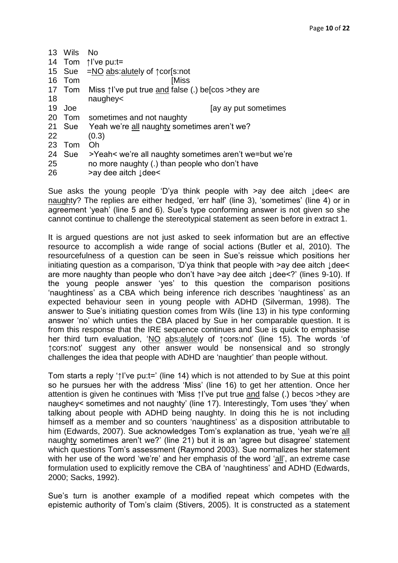| 13 | Wils   | No.                                                           |
|----|--------|---------------------------------------------------------------|
| 14 | Tom    | $\uparrow$ l've pu: t=                                        |
| 15 | Sue    | =NO abs:alutely of ↑ cor[s:not                                |
| 16 | Tom    | [Miss                                                         |
|    | 17 Tom | Miss $\uparrow$ l've put true and false (.) belcos > they are |
| 18 |        | naughey<                                                      |
| 19 | Joe    | [ay ay put sometimes                                          |
| 20 | Tom    | sometimes and not naughty                                     |
|    | 21 Sue | Yeah we're all naughty sometimes aren't we?                   |
| 22 |        | (0.3)                                                         |
| 23 | Tom    | Oh                                                            |
|    | 24 Sue | >Yeah< we're all naughty sometimes aren't we=but we're        |
| 25 |        | no more naughty (.) than people who don't have                |
| 26 |        | >ay dee aitch Jdee<                                           |
|    |        |                                                               |

Sue asks the young people 'D'ya think people with >ay dee aitch  $\downarrow$  dee< are naughty? The replies are either hedged, 'err half' (line 3), 'sometimes' (line 4) or in agreement "yeah" (line 5 and 6). Sue"s type conforming answer is not given so she cannot continue to challenge the stereotypical statement as seen before in extract 1.

It is argued questions are not just asked to seek information but are an effective resource to accomplish a wide range of social actions (Butler et al, 2010). The resourcefulness of a question can be seen in Sue"s reissue which positions her initiating question as a comparison, "D"ya think that people with >ay dee aitch ↓dee< are more naughty than people who don't have >ay dee aitch  $\text{g}_e$  =2° (lines 9-10). If the young people answer "yes" to this question the comparison positions 'naughtiness' as a CBA which being inference rich describes 'naughtiness' as an expected behaviour seen in young people with ADHD (Silverman, 1998). The answer to Sue"s initiating question comes from Wils (line 13) in his type conforming answer "no" which unties the CBA placed by Sue in her comparable question. It is from this response that the IRE sequence continues and Sue is quick to emphasise her third turn evaluation, 'NO abs:alutely of ↑cors:not' (line 15). The words 'of ↑cors:not" suggest any other answer would be nonsensical and so strongly challenges the idea that people with ADHD are "naughtier" than people without.

Tom starts a reply '↑I've pu:t=' (line 14) which is not attended to by Sue at this point so he pursues her with the address "Miss" (line 16) to get her attention. Once her attention is given he continues with "Miss ↑I"ve put true and false (.) becos >they are naughey < sometimes and not naughty' (line 17). Interestingly, Tom uses 'they' when talking about people with ADHD being naughty. In doing this he is not including himself as a member and so counters 'naughtiness' as a disposition attributable to him (Edwards, 2007). Sue acknowledges Tom's explanation as true, 'yeah we're all naughty sometimes aren't we?' (line 21) but it is an 'agree but disagree' statement which questions Tom"s assessment (Raymond 2003). Sue normalizes her statement with her use of the word 'we're' and her emphasis of the word 'all', an extreme case formulation used to explicitly remove the CBA of "naughtiness" and ADHD (Edwards, 2000; Sacks, 1992).

Sue"s turn is another example of a modified repeat which competes with the epistemic authority of Tom"s claim (Stivers, 2005). It is constructed as a statement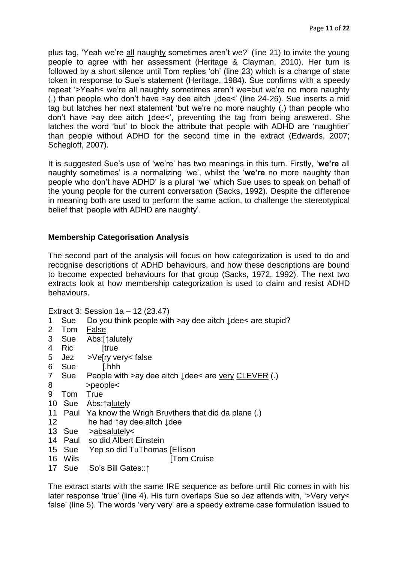plus tag, "Yeah we"re all naughty sometimes aren"t we?" (line 21) to invite the young people to agree with her assessment (Heritage & Clayman, 2010). Her turn is followed by a short silence until Tom replies 'oh' (line 23) which is a change of state token in response to Sue's statement (Heritage, 1984). Sue confirms with a speedy repeat ">Yeah< we"re all naughty sometimes aren"t we=but we"re no more naughty (.) than people who don"t have >ay dee aitch ↓dee<" (line 24-26). Sue inserts a mid tag but latches her next statement "but we"re no more naughty (.) than people who don"t have >ay dee aitch ↓dee<", preventing the tag from being answered. She latches the word "but" to block the attribute that people with ADHD are "naughtier" than people without ADHD for the second time in the extract (Edwards, 2007; Schegloff, 2007).

It is suggested Sue's use of 'we're' has two meanings in this turn. Firstly, 'we're all naughty sometimes" is a normalizing "we", whilst the "**we're** no more naughty than people who don"t have ADHD" is a plural "we" which Sue uses to speak on behalf of the young people for the current conversation (Sacks, 1992). Despite the difference in meaning both are used to perform the same action, to challenge the stereotypical belief that "people with ADHD are naughty".

## **Membership Categorisation Analysis**

The second part of the analysis will focus on how categorization is used to do and recognise descriptions of ADHD behaviours, and how these descriptions are bound to become expected behaviours for that group (Sacks, 1972, 1992). The next two extracts look at how membership categorization is used to claim and resist ADHD behaviours.

```
Extract 3: Session 1a – 12 (23.47)
```
- 1 Sue Do you think people with >ay dee aitch ↓dee< are stupid?
- 2 Tom False
- 3 Sue Abs:[↑alutely
- 4 Ric [true
- 5 Jez >Ve[ry very< false
- 6 Sue [.hhh
- 7 Sue People with >ay dee aitch ↓dee< are very CLEVER (.)
- 8 >people<
- 9 Tom True
- 10 Sue Abs:↑alutely
- 11 Paul Ya know the Wrigh Bruvthers that did da plane (.)
- 12 he had ↑ay dee aitch **↓dee**
- 13 Sue >absalutely<
- 14 Paul so did Albert Einstein
- 15 Sue Yep so did TuThomas [Ellison
- 16 Wils **[Tom Cruise**]
- 17 Sue So"s Bill Gates::↑

The extract starts with the same IRE sequence as before until Ric comes in with his later response 'true' (line 4). His turn overlaps Sue so Jez attends with, '>Very very< false' (line 5). The words 'very very' are a speedy extreme case formulation issued to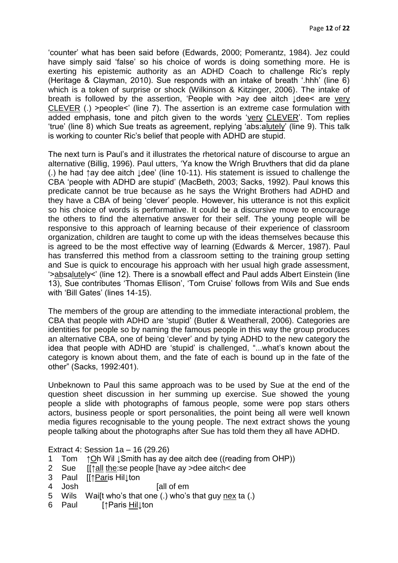"counter" what has been said before (Edwards, 2000; Pomerantz, 1984). Jez could have simply said "false" so his choice of words is doing something more. He is exerting his epistemic authority as an ADHD Coach to challenge Ric's reply (Heritage & Clayman, 2010). Sue responds with an intake of breath ".hhh" (line 6) which is a token of surprise or shock (Wilkinson & Kitzinger, 2006). The intake of breath is followed by the assertion, 'People with >ay dee aitch  $\downarrow$  dee< are very CLEVER (.) >people<" (line 7). The assertion is an extreme case formulation with added emphasis, tone and pitch given to the words "very CLEVER". Tom replies 'true' (line 8) which Sue treats as agreement, replying 'abs: alutely' (line 9). This talk is working to counter Ric"s belief that people with ADHD are stupid.

The next turn is Paul"s and it illustrates the rhetorical nature of discourse to argue an alternative (Billig, 1996). Paul utters, "Ya know the Wrigh Bruvthers that did da plane (.) he had  $\uparrow$ ay dee aitch  $\downarrow$  dee' (line 10-11). His statement is issued to challenge the CBA "people with ADHD are stupid" (MacBeth, 2003; Sacks, 1992). Paul knows this predicate cannot be true because as he says the Wright Brothers had ADHD and they have a CBA of being "clever" people. However, his utterance is not this explicit so his choice of words is performative. It could be a discursive move to encourage the others to find the alternative answer for their self. The young people will be responsive to this approach of learning because of their experience of classroom organization, children are taught to come up with the ideas themselves because this is agreed to be the most effective way of learning (Edwards & Mercer, 1987). Paul has transferred this method from a classroom setting to the training group setting and Sue is quick to encourage his approach with her usual high grade assessment, ">absalutely<" (line 12). There is a snowball effect and Paul adds Albert Einstein (line 13), Sue contributes "Thomas Ellison", "Tom Cruise" follows from Wils and Sue ends with 'Bill Gates' (lines 14-15).

The members of the group are attending to the immediate interactional problem, the CBA that people with ADHD are "stupid" (Butler & Weatherall, 2006). Categories are identities for people so by naming the famous people in this way the group produces an alternative CBA, one of being "clever" and by tying ADHD to the new category the idea that people with ADHD are 'stupid' is challenged, "...what's known about the category is known about them, and the fate of each is bound up in the fate of the other" (Sacks, 1992:401).

Unbeknown to Paul this same approach was to be used by Sue at the end of the question sheet discussion in her summing up exercise. Sue showed the young people a slide with photographs of famous people, some were pop stars others actors, business people or sport personalities, the point being all were well known media figures recognisable to the young people. The next extract shows the young people talking about the photographs after Sue has told them they all have ADHD.

Extract 4: Session 1a – 16 (29.26)

- 1 Tom ↑Oh Wil ↓Smith has ay dee aitch dee ((reading from OHP))
- 2 Sue [[↑all the:se people [have ay >dee aitch< dee
- 3 Paul [[↑Paris Hil↓ton
- 4 Josh [all of em
- 5 Wils Waift who's that one (.) who's that guy nex ta (.)
- 6 Paul [↑Paris Hil↓ton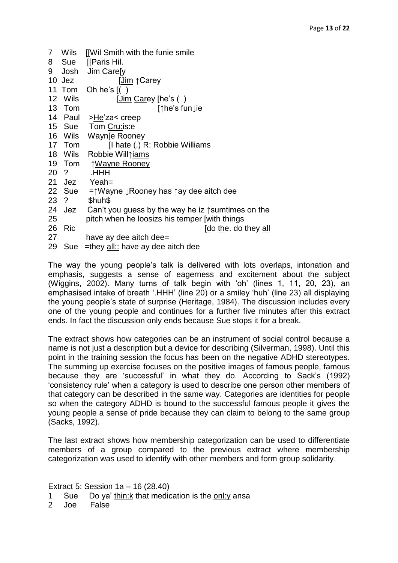| 7  | Wils | [[Wil Smith with the funie smile                            |
|----|------|-------------------------------------------------------------|
| 8  |      | Sue [[Paris Hil.                                            |
| 9  | Josh | Jim Carely                                                  |
| 10 | Jez  | <u>[Jim</u> ↑ Carey                                         |
| 11 | Tom  | Oh he's $( )$                                               |
| 12 | Wils | [Jim Carey [he's ()                                         |
| 13 | Tom  | [↑he's fun↓ie                                               |
| 14 | Paul | >He'za< creep                                               |
|    |      | 15 Sue Tom Cru: is: e                                       |
|    |      | 16 Wils Wayn [e Rooney                                      |
| 17 | Tom  | [I hate (.) R: Robbie Williams                              |
| 18 | Wils | Robbie Will <sup>t</sup> iams                               |
|    |      | 19 Tom  10 Nayne Rooney                                     |
|    | 20 ? | HHH.                                                        |
| 21 |      | Jez Yeah=                                                   |
|    |      | 22 Sue =↑ Wayne JRooney has ↑ ay dee aitch dee              |
|    | 23 ? | \$huh\$                                                     |
| 24 | Jez  | Can't you guess by the way he iz $\uparrow$ sumtimes on the |
| 25 |      | pitch when he loosizs his temper [with things               |
| 26 | Ric  | [do the. do they all                                        |
| 27 |      | have ay dee aitch dee=                                      |
| 29 | Sue  | they all:: have ay dee aitch dee                            |

The way the young people"s talk is delivered with lots overlaps, intonation and emphasis, suggests a sense of eagerness and excitement about the subject (Wiggins, 2002). Many turns of talk begin with "oh" (lines 1, 11, 20, 23), an emphasised intake of breath '.HHH' (line 20) or a smiley 'huh' (line 23) all displaying the young people"s state of surprise (Heritage, 1984). The discussion includes every one of the young people and continues for a further five minutes after this extract ends. In fact the discussion only ends because Sue stops it for a break.

The extract shows how categories can be an instrument of social control because a name is not just a description but a device for describing (Silverman, 1998). Until this point in the training session the focus has been on the negative ADHD stereotypes. The summing up exercise focuses on the positive images of famous people, famous because they are "successful" in what they do. According to Sack"s (1992) "consistency rule" when a category is used to describe one person other members of that category can be described in the same way. Categories are identities for people so when the category ADHD is bound to the successful famous people it gives the young people a sense of pride because they can claim to belong to the same group (Sacks, 1992).

The last extract shows how membership categorization can be used to differentiate members of a group compared to the previous extract where membership categorization was used to identify with other members and form group solidarity.

Extract 5: Session 1a – 16 (28.40)

- 1 Sue Do ya" thin:k that medication is the onl:y ansa
- 2 Joe False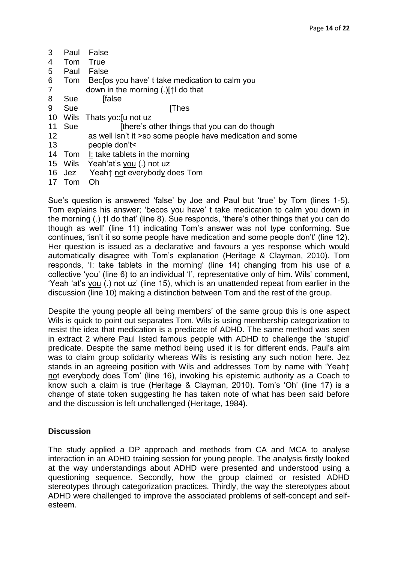| 3  | Paul        | False                                                     |
|----|-------------|-----------------------------------------------------------|
| 4  | Tom         | True                                                      |
| 5  | Paul        | False                                                     |
| 6  | Tom         | Beclos you have' t take medication to calm you            |
| 7  |             | down in the morning $(.)$ [ $\uparrow$ ] do that          |
| 8  | Sue         | [false                                                    |
| 9  | Sue         | [Thes                                                     |
| 10 | <b>Wils</b> | Thats yo::[u not uz                                       |
| 11 | Sue         | [there's other things that you can do though              |
| 12 |             | as well isn't it >so some people have medication and some |
| 13 |             | people don't<                                             |
| 14 | Tom         | I: take tablets in the morning                            |
| 15 | <b>Wils</b> | Yeah'at's you (.) not uz                                  |
| 16 | Jez         | Yeah↑ not everybody does Tom                              |
| 17 | Tom         | Oh                                                        |

Sue's question is answered 'false' by Joe and Paul but 'true' by Tom (lines 1-5). Tom explains his answer; "becos you have" t take medication to calm you down in the morning (.) ↑I do that" (line 8). Sue responds, "there"s other things that you can do though as well" (line 11) indicating Tom"s answer was not type conforming. Sue continues, "isn"t it so some people have medication and some people don"t" (line 12). Her question is issued as a declarative and favours a yes response which would automatically disagree with Tom"s explanation (Heritage & Clayman, 2010). Tom responds, 'I: take tablets in the morning' (line 14) changing from his use of a collective 'you' (line 6) to an individual 'I', representative only of him. Wils' comment, "Yeah "at"s you (.) not uz" (line 15), which is an unattended repeat from earlier in the discussion (line 10) making a distinction between Tom and the rest of the group.

Despite the young people all being members" of the same group this is one aspect Wils is quick to point out separates Tom. Wils is using membership categorization to resist the idea that medication is a predicate of ADHD. The same method was seen in extract 2 where Paul listed famous people with ADHD to challenge the "stupid" predicate. Despite the same method being used it is for different ends. Paul"s aim was to claim group solidarity whereas Wils is resisting any such notion here. Jez stands in an agreeing position with Wils and addresses Tom by name with "Yeah↑ not everybody does Tom" (line 16), invoking his epistemic authority as a Coach to know such a claim is true (Heritage & Clayman, 2010). Tom"s "Oh" (line 17) is a change of state token suggesting he has taken note of what has been said before and the discussion is left unchallenged (Heritage, 1984).

## **Discussion**

The study applied a DP approach and methods from CA and MCA to analyse interaction in an ADHD training session for young people. The analysis firstly looked at the way understandings about ADHD were presented and understood using a questioning sequence. Secondly, how the group claimed or resisted ADHD stereotypes through categorization practices. Thirdly, the way the stereotypes about ADHD were challenged to improve the associated problems of self-concept and selfesteem.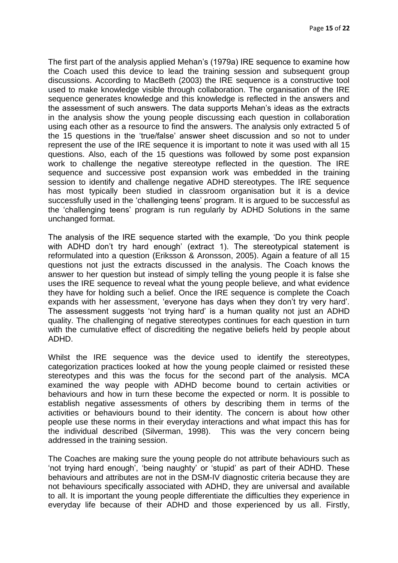The first part of the analysis applied Mehan"s (1979a) IRE sequence to examine how the Coach used this device to lead the training session and subsequent group discussions. According to MacBeth (2003) the IRE sequence is a constructive tool used to make knowledge visible through collaboration. The organisation of the IRE sequence generates knowledge and this knowledge is reflected in the answers and the assessment of such answers. The data supports Mehan"s ideas as the extracts in the analysis show the young people discussing each question in collaboration using each other as a resource to find the answers. The analysis only extracted 5 of the 15 questions in the "true/false" answer sheet discussion and so not to under represent the use of the IRE sequence it is important to note it was used with all 15 questions. Also, each of the 15 questions was followed by some post expansion work to challenge the negative stereotype reflected in the question. The IRE sequence and successive post expansion work was embedded in the training session to identify and challenge negative ADHD stereotypes. The IRE sequence has most typically been studied in classroom organisation but it is a device successfully used in the "challenging teens" program. It is argued to be successful as the "challenging teens" program is run regularly by ADHD Solutions in the same unchanged format.

The analysis of the IRE sequence started with the example, "Do you think people with ADHD don't try hard enough' (extract 1). The stereotypical statement is reformulated into a question (Eriksson & Aronsson, 2005). Again a feature of all 15 questions not just the extracts discussed in the analysis. The Coach knows the answer to her question but instead of simply telling the young people it is false she uses the IRE sequence to reveal what the young people believe, and what evidence they have for holding such a belief. Once the IRE sequence is complete the Coach expands with her assessment, 'everyone has days when they don't try very hard'. The assessment suggests 'not trying hard' is a human quality not just an ADHD quality. The challenging of negative stereotypes continues for each question in turn with the cumulative effect of discrediting the negative beliefs held by people about ADHD.

Whilst the IRE sequence was the device used to identify the stereotypes, categorization practices looked at how the young people claimed or resisted these stereotypes and this was the focus for the second part of the analysis. MCA examined the way people with ADHD become bound to certain activities or behaviours and how in turn these become the expected or norm. It is possible to establish negative assessments of others by describing them in terms of the activities or behaviours bound to their identity. The concern is about how other people use these norms in their everyday interactions and what impact this has for the individual described (Silverman, 1998). This was the very concern being addressed in the training session.

The Coaches are making sure the young people do not attribute behaviours such as "not trying hard enough", "being naughty" or "stupid" as part of their ADHD. These behaviours and attributes are not in the DSM-IV diagnostic criteria because they are not behaviours specifically associated with ADHD, they are universal and available to all. It is important the young people differentiate the difficulties they experience in everyday life because of their ADHD and those experienced by us all. Firstly,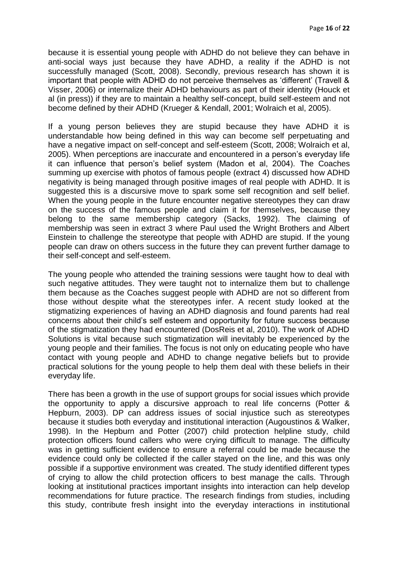because it is essential young people with ADHD do not believe they can behave in anti-social ways just because they have ADHD, a reality if the ADHD is not successfully managed (Scott, 2008). Secondly, previous research has shown it is important that people with ADHD do not perceive themselves as "different" (Travell & Visser, 2006) or internalize their ADHD behaviours as part of their identity (Houck et al (in press)) if they are to maintain a healthy self-concept, build self-esteem and not become defined by their ADHD (Krueger & Kendall, 2001; Wolraich et al, 2005).

If a young person believes they are stupid because they have ADHD it is understandable how being defined in this way can become self perpetuating and have a negative impact on self-concept and self-esteem (Scott, 2008; Wolraich et al, 2005). When perceptions are inaccurate and encountered in a person"s everyday life it can influence that person"s belief system (Madon et al, 2004). The Coaches summing up exercise with photos of famous people (extract 4) discussed how ADHD negativity is being managed through positive images of real people with ADHD. It is suggested this is a discursive move to spark some self recognition and self belief. When the young people in the future encounter negative stereotypes they can draw on the success of the famous people and claim it for themselves, because they belong to the same membership category (Sacks, 1992). The claiming of membership was seen in extract 3 where Paul used the Wright Brothers and Albert Einstein to challenge the stereotype that people with ADHD are stupid. If the young people can draw on others success in the future they can prevent further damage to their self-concept and self-esteem.

The young people who attended the training sessions were taught how to deal with such negative attitudes. They were taught not to internalize them but to challenge them because as the Coaches suggest people with ADHD are not so different from those without despite what the stereotypes infer. A recent study looked at the stigmatizing experiences of having an ADHD diagnosis and found parents had real concerns about their child"s self esteem and opportunity for future success because of the stigmatization they had encountered (DosReis et al, 2010). The work of ADHD Solutions is vital because such stigmatization will inevitably be experienced by the young people and their families. The focus is not only on educating people who have contact with young people and ADHD to change negative beliefs but to provide practical solutions for the young people to help them deal with these beliefs in their everyday life.

There has been a growth in the use of support groups for social issues which provide the opportunity to apply a discursive approach to real life concerns (Potter & Hepburn, 2003). DP can address issues of social injustice such as stereotypes because it studies both everyday and institutional interaction (Augoustinos & Walker, 1998). In the Hepburn and Potter (2007) child protection helpline study, child protection officers found callers who were crying difficult to manage. The difficulty was in getting sufficient evidence to ensure a referral could be made because the evidence could only be collected if the caller stayed on the line, and this was only possible if a supportive environment was created. The study identified different types of crying to allow the child protection officers to best manage the calls. Through looking at institutional practices important insights into interaction can help develop recommendations for future practice. The research findings from studies, including this study, contribute fresh insight into the everyday interactions in institutional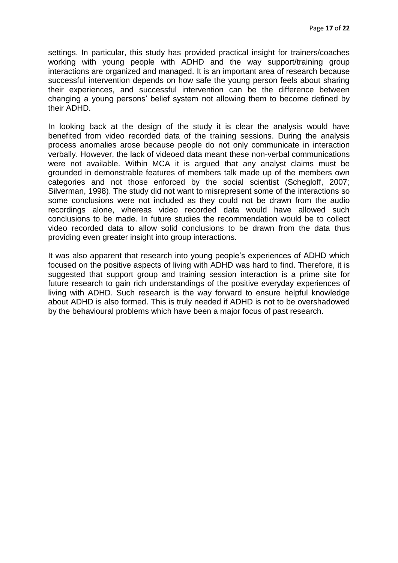settings. In particular, this study has provided practical insight for trainers/coaches working with young people with ADHD and the way support/training group interactions are organized and managed. It is an important area of research because successful intervention depends on how safe the young person feels about sharing their experiences, and successful intervention can be the difference between changing a young persons" belief system not allowing them to become defined by their ADHD.

In looking back at the design of the study it is clear the analysis would have benefited from video recorded data of the training sessions. During the analysis process anomalies arose because people do not only communicate in interaction verbally. However, the lack of videoed data meant these non-verbal communications were not available. Within MCA it is argued that any analyst claims must be grounded in demonstrable features of members talk made up of the members own categories and not those enforced by the social scientist (Schegloff, 2007; Silverman, 1998). The study did not want to misrepresent some of the interactions so some conclusions were not included as they could not be drawn from the audio recordings alone, whereas video recorded data would have allowed such conclusions to be made. In future studies the recommendation would be to collect video recorded data to allow solid conclusions to be drawn from the data thus providing even greater insight into group interactions.

It was also apparent that research into young people's experiences of ADHD which focused on the positive aspects of living with ADHD was hard to find. Therefore, it is suggested that support group and training session interaction is a prime site for future research to gain rich understandings of the positive everyday experiences of living with ADHD. Such research is the way forward to ensure helpful knowledge about ADHD is also formed. This is truly needed if ADHD is not to be overshadowed by the behavioural problems which have been a major focus of past research.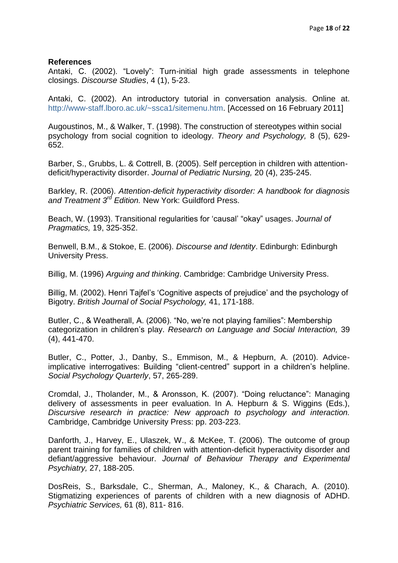### **References**

Antaki, C. (2002). "Lovely": Turn-initial high grade assessments in telephone closings. *Discourse Studies*, 4 (1), 5-23.

Antaki, C. (2002). An introductory tutorial in conversation analysis. Online at. [http://www-staff.lboro.ac.uk/~ssca1/sitemenu.htm.](http://www-staff.lboro.ac.uk/~ssca1/sitemenu.htm) [Accessed on 16 February 2011]

Augoustinos, M., & Walker, T. (1998). The construction of stereotypes within social psychology from social cognition to ideology. *Theory and Psychology,* 8 (5), 629- 652.

Barber, S., Grubbs, L. & Cottrell, B. (2005). Self perception in children with attentiondeficit/hyperactivity disorder. *Journal of Pediatric Nursing,* 20 (4), 235-245.

Barkley, R. (2006). *Attention-deficit hyperactivity disorder: A handbook for diagnosis and Treatment 3rd Edition.* New York: Guildford Press.

Beach, W. (1993). Transitional regularities for "causal" "okay" usages. *Journal of Pragmatics,* 19, 325-352.

Benwell, B.M., & Stokoe, E. (2006). *Discourse and Identity*. Edinburgh: Edinburgh University Press.

Billig, M. (1996) *Arguing and thinking*. Cambridge: Cambridge University Press.

Billig, M. (2002). Henri Tajfel"s "Cognitive aspects of prejudice" and the psychology of Bigotry. *British Journal of Social Psychology,* 41, 171-188.

Butler, C., & Weatherall, A. (2006). "No, we"re not playing families": Membership categorization in children"s play. *Research on Language and Social Interaction,* 39 (4), 441-470.

Butler, C., Potter, J., Danby, S., Emmison, M., & Hepburn, A. (2010). Adviceimplicative interrogatives: Building "client-centred" support in a children's helpline. *Social Psychology Quarterly*, 57, 265-289.

Cromdal, J., Tholander, M., & Aronsson, K. (2007). "Doing reluctance": Managing delivery of assessments in peer evaluation. In A. Hepburn & S. Wiggins (Eds.), *Discursive research in practice: New approach to psychology and interaction.* Cambridge, Cambridge University Press: pp. 203-223.

Danforth, J., Harvey, E., Ulaszek, W., & McKee, T. (2006). The outcome of group parent training for families of children with attention-deficit hyperactivity disorder and defiant/aggressive behaviour. *Journal of Behaviour Therapy and Experimental Psychiatry,* 27, 188-205.

DosReis, S., Barksdale, C., Sherman, A., Maloney, K., & Charach, A. (2010). Stigmatizing experiences of parents of children with a new diagnosis of ADHD. *Psychiatric Services,* 61 (8), 811- 816.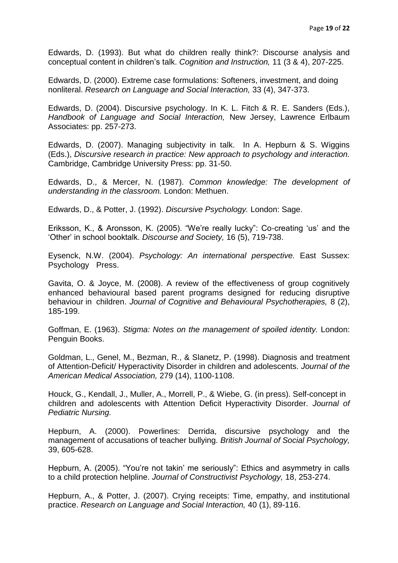Edwards, D. (1993). But what do children really think?: Discourse analysis and conceptual content in children"s talk. *Cognition and Instruction,* 11 (3 & 4), 207-225.

Edwards, D. (2000). Extreme case formulations: Softeners, investment, and doing nonliteral. *Research on Language and Social Interaction,* 33 (4), 347-373.

Edwards, D. (2004). Discursive psychology. In K. L. Fitch & R. E. Sanders (Eds.), *Handbook of Language and Social Interaction,* New Jersey, Lawrence Erlbaum Associates: pp. 257-273.

Edwards, D. (2007). Managing subjectivity in talk. In A. Hepburn & S. Wiggins (Eds.), *Discursive research in practice: New approach to psychology and interaction.* Cambridge, Cambridge University Press: pp. 31-50.

Edwards, D., & Mercer, N. (1987). *Common knowledge: The development of understanding in the classroom.* London: Methuen.

Edwards, D., & Potter, J. (1992). *Discursive Psychology.* London: Sage.

Eriksson, K., & Aronsson, K. (2005). "We"re really lucky": Co-creating "us" and the "Other" in school booktalk. *Discourse and Society,* 16 (5), 719-738.

Eysenck, N.W. (2004). *Psychology: An international perspective.* East Sussex: Psychology Press.

Gavita, O. & Joyce, M. (2008). A review of the effectiveness of group cognitively enhanced behavioural based parent programs designed for reducing disruptive behaviour in children. *Journal of Cognitive and Behavioural Psychotherapies,* 8 (2), 185-199.

Goffman, E. (1963). *Stigma: Notes on the management of spoiled identity.* London: Penguin Books.

Goldman, L., Genel, M., Bezman, R., & Slanetz, P. (1998). Diagnosis and treatment of Attention-Deficit/ Hyperactivity Disorder in children and adolescents. *Journal of the American Medical Association,* 279 (14), 1100-1108.

Houck, G., Kendall, J., Muller, A., Morrell, P., & Wiebe, G. (in press). Self-concept in children and adolescents with Attention Deficit Hyperactivity Disorder. *Journal of Pediatric Nursing.*

Hepburn, A. (2000). Powerlines: Derrida, discursive psychology and the management of accusations of teacher bullying. *British Journal of Social Psychology,*  39, 605-628.

Hepburn, A. (2005). "You're not takin' me seriously": Ethics and asymmetry in calls to a child protection helpline. *Journal of Constructivist Psychology,* 18, 253-274.

Hepburn, A., & Potter, J. (2007). Crying receipts: Time, empathy, and institutional practice. *Research on Language and Social Interaction,* 40 (1), 89-116.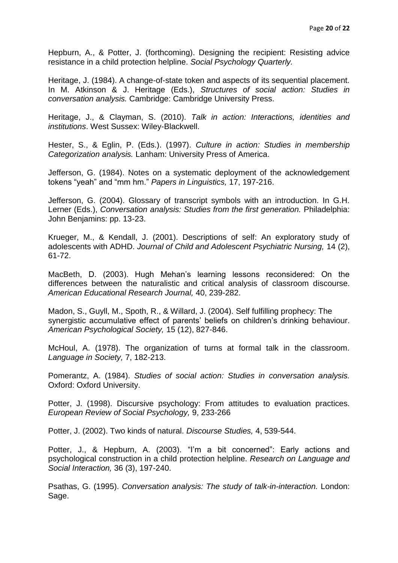Hepburn, A., & Potter, J. (forthcoming). Designing the recipient: Resisting advice resistance in a child protection helpline. *Social Psychology Quarterly.* 

Heritage, J. (1984). A change-of-state token and aspects of its sequential placement. In M. Atkinson & J. Heritage (Eds.), *Structures of social action: Studies in conversation analysis.* Cambridge: Cambridge University Press.

Heritage, J., & Clayman, S. (2010). *Talk in action: Interactions, identities and institutions*. West Sussex: Wiley-Blackwell.

Hester, S., & Eglin, P. (Eds.). (1997). *Culture in action: Studies in membership Categorization analysis.* Lanham: University Press of America.

Jefferson, G. (1984). Notes on a systematic deployment of the acknowledgement tokens "yeah" and "mm hm." *Papers in Linguistics,* 17, 197-216.

Jefferson, G. (2004). Glossary of transcript symbols with an introduction. In G.H. Lerner (Eds.), *Conversation analysis: Studies from the first generation.* Philadelphia: John Benjamins: pp. 13-23.

Krueger, M., & Kendall, J. (2001). Descriptions of self: An exploratory study of adolescents with ADHD. *Journal of Child and Adolescent Psychiatric Nursing,* 14 (2), 61-72.

MacBeth, D. (2003). Hugh Mehan"s learning lessons reconsidered: On the differences between the naturalistic and critical analysis of classroom discourse. *American Educational Research Journal,* 40, 239-282.

Madon, S., Guyll, M., Spoth, R., & Willard, J. (2004). Self fulfilling prophecy: The synergistic accumulative effect of parents' beliefs on children's drinking behaviour. *American Psychological Society,* 15 (12), 827-846.

McHoul, A. (1978). The organization of turns at formal talk in the classroom. *Language in Society,* 7, 182-213.

Pomerantz, A. (1984). *Studies of social action: Studies in conversation analysis.*  Oxford: Oxford University.

Potter, J. (1998). Discursive psychology: From attitudes to evaluation practices. *European Review of Social Psychology,* 9, 233-266

Potter, J. (2002). Two kinds of natural. *Discourse Studies,* 4, 539-544.

Potter, J., & Hepburn, A. (2003). "I'm a bit concerned": Early actions and psychological construction in a child protection helpline. *Research on Language and Social Interaction,* 36 (3), 197-240.

Psathas, G. (1995). *Conversation analysis: The study of talk-in-interaction.* London: Sage.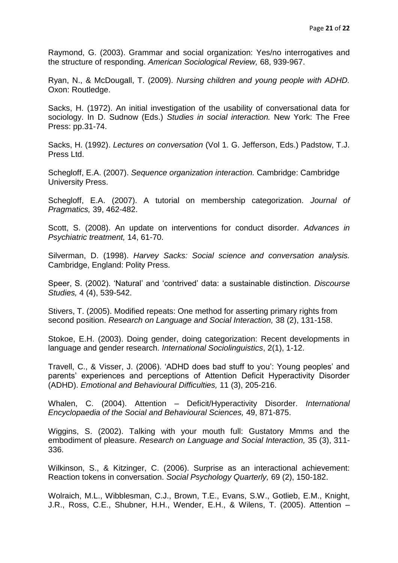Raymond, G. (2003). Grammar and social organization: Yes/no interrogatives and the structure of responding. *American Sociological Review,* 68, 939-967.

Ryan, N., & McDougall, T. (2009). *Nursing children and young people with ADHD.*  Oxon: Routledge.

Sacks, H. (1972). An initial investigation of the usability of conversational data for sociology. In D. Sudnow (Eds.) *Studies in social interaction.* New York: The Free Press: pp.31-74.

Sacks, H. (1992). *Lectures on conversation* (Vol 1. G. Jefferson, Eds.) Padstow, T.J. Press Ltd.

Schegloff, E.A. (2007). *Sequence organization interaction.* Cambridge: Cambridge University Press.

Schegloff, E.A. (2007). A tutorial on membership categorization. *Journal of Pragmatics,* 39, 462-482.

Scott, S. (2008). An update on interventions for conduct disorder. *Advances in Psychiatric treatment,* 14, 61-70.

Silverman, D. (1998). *Harvey Sacks: Social science and conversation analysis.* Cambridge, England: Polity Press.

Speer, S. (2002). "Natural" and "contrived" data: a sustainable distinction. *Discourse Studies,* 4 (4), 539-542.

Stivers, T. (2005). Modified repeats: One method for asserting primary rights from second position. *Research on Language and Social Interaction,* 38 (2), 131-158.

Stokoe, E.H. (2003). Doing gender, doing categorization: Recent developments in language and gender research. *International Sociolinguistics*, 2(1), 1-12.

Travell, C., & Visser, J. (2006). "ADHD does bad stuff to you": Young peoples" and parents" experiences and perceptions of Attention Deficit Hyperactivity Disorder (ADHD). *Emotional and Behavioural Difficulties,* 11 (3), 205-216.

Whalen, C. (2004). Attention – Deficit/Hyperactivity Disorder. *International Encyclopaedia of the Social and Behavioural Sciences,* 49, 871-875.

Wiggins, S. (2002). Talking with your mouth full: Gustatory Mmms and the embodiment of pleasure. *Research on Language and Social Interaction,* 35 (3), 311- 336.

Wilkinson, S., & Kitzinger, C. (2006). Surprise as an interactional achievement: Reaction tokens in conversation. *Social Psychology Quarterly,* 69 (2), 150-182.

Wolraich, M.L., Wibblesman, C.J., Brown, T.E., Evans, S.W., Gotlieb, E.M., Knight, J.R., Ross, C.E., Shubner, H.H., Wender, E.H., & Wilens, T. (2005). Attention –